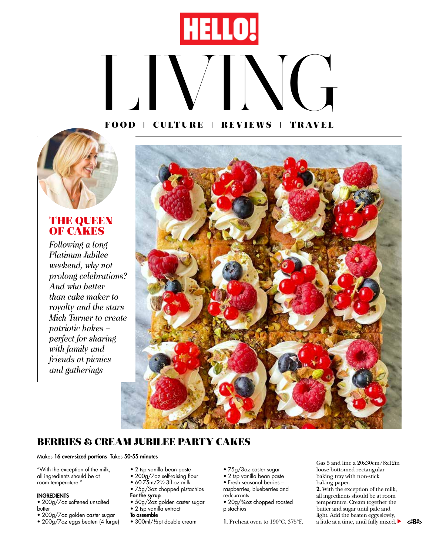# **HELLO!** LIVING TRAVEL **FOOD** ❘ **CULTURE** ❘ **REVIEWS** ❘ **TRAVEL**



## **THE QUEEN OF CAKES**

*Following a long Platinum Jubilee weekend, why not prolong celebrations? And who better than cake maker to royalty and the stars Mich Turner to create patriotic bakes – perfect for sharing with family and friends at picnics and gatherings*



## **BERRIES & CREAM JUBILEE PARTY CAKES**

#### Makes 16 even-sized portions Takes 50-55 minutes

"With the exception of the milk, all ingredients should be at room temperature."

#### INGREDIENTS

- 200g/7oz softened unsalted butter
- 200g/7oz golden caster sugar
- 200g/7oz eggs beaten (4 large)
- 2 tsp vanilla bean paste • 200g/7oz self-raising flour
- 60-75m/2½-3fl oz milk
- 75g/3oz chopped pistachios
- For the syrup
- 50g/2oz golden caster sugar • 2 tsp vanilla extract
- To assemble
- 300ml/1/2pt double cream
- 75g/3oz caster sugar
- 2 tsp vanilla bean paste
- Fresh seasonal berries raspberries, blueberries and

redcurrants • 20g/¾oz chopped roasted

pistachios

1. Preheat oven to 190°C, 375°F,

Gas 5 and line a 20x30cm/8x12in loose-bottomed rectangular baking tray with non-stick baking paper.

2. With the exception of the milk, all ingredients should be at room temperature. Cream together the butter and sugar until pale and light. Add the beaten eggs slowly, a little at a time, until fully mixed.  $\blacktriangleright$